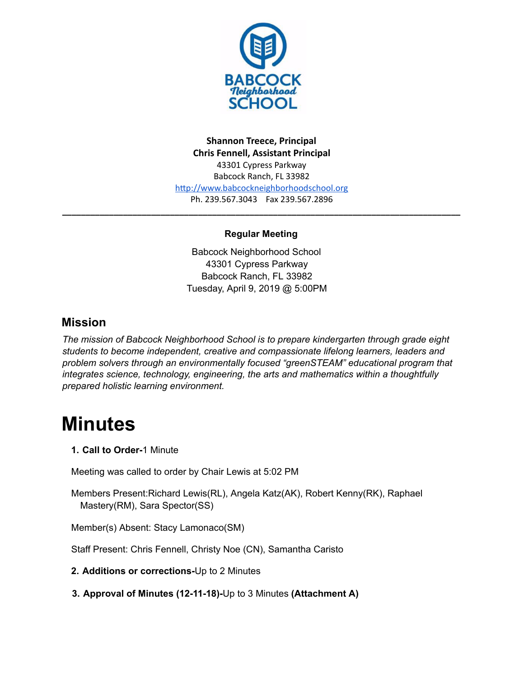

**Shannon Treece, Principal Chris Fennell, Assistant Principal**  43301 Cypress Parkway Babcock Ranch, FL 33982 http://www.babcockneighborhoodschool.org Ph. 239.567.3043 Fax 239.567.2896

#### **Regular Meeting**

**\_\_\_\_\_\_\_\_\_\_\_\_\_\_\_\_\_\_\_\_\_\_\_\_\_\_\_\_\_\_\_\_\_\_\_\_\_\_\_\_\_\_\_\_\_\_\_\_\_\_\_\_\_\_\_\_\_\_\_\_\_\_\_\_\_\_\_\_\_\_\_\_\_\_\_\_\_\_\_\_\_\_\_\_\_**

Babcock Neighborhood School 43301 Cypress Parkway Babcock Ranch, FL 33982 Tuesday, April 9, 2019 @ 5:00PM

## **Mission**

*The mission of Babcock Neighborhood School is to prepare kindergarten through grade eight students to become independent, creative and compassionate lifelong learners, leaders and problem solvers through an environmentally focused "greenSTEAM" educational program that integrates science, technology, engineering, the arts and mathematics within a thoughtfully prepared holistic learning environment.*

# **Minutes**

**1. Call to Order-**1 Minute

Meeting was called to order by Chair Lewis at 5:02 PM

Members Present:Richard Lewis(RL), Angela Katz(AK), Robert Kenny(RK), Raphael Mastery(RM), Sara Spector(SS)

Member(s) Absent: Stacy Lamonaco(SM)

Staff Present: Chris Fennell, Christy Noe (CN), Samantha Caristo

**2. Additions or corrections-**Up to 2 Minutes

**3. Approval of Minutes (12-11-18)-**Up to 3 Minutes **(Attachment A)**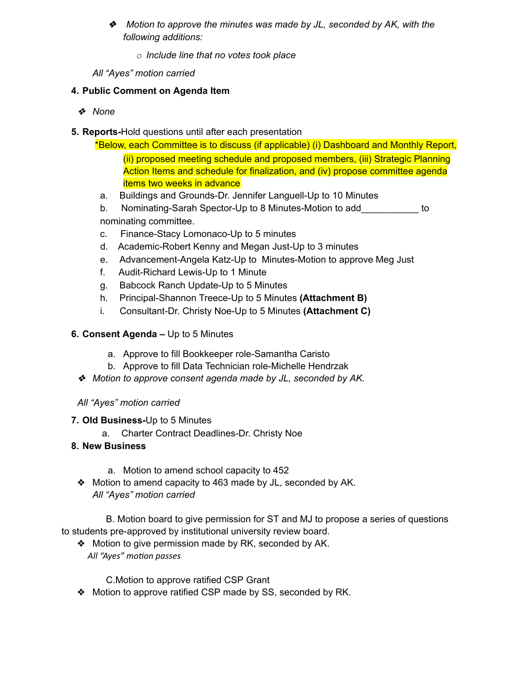- ❖ *Motion to approve the minutes was made by JL, seconded by AK, with the following additions:*
	- *o Include line that no votes took place*
- *All "Ayes" motion carried*

#### **4. Public Comment on Agenda Item**

- ❖ *None*
- **5. Reports-**Hold questions until after each presentation

\*Below, each Committee is to discuss (if applicable) (i) Dashboard and Monthly Report, (ii) proposed meeting schedule and proposed members, (iii) Strategic Planning Action Items and schedule for finalization, and (iv) propose committee agenda items two weeks in advance

- a. Buildings and Grounds-Dr. Jennifer Languell-Up to 10 Minutes
- b. Nominating-Sarah Spector-Up to 8 Minutes-Motion to add\_\_\_\_\_\_\_\_\_\_\_ to nominating committee.
- c. Finance-Stacy Lomonaco-Up to 5 minutes
- d. Academic-Robert Kenny and Megan Just-Up to 3 minutes
- e. Advancement-Angela Katz-Up to Minutes-Motion to approve Meg Just
- f. Audit-Richard Lewis-Up to 1 Minute
- g. Babcock Ranch Update-Up to 5 Minutes
- h. Principal-Shannon Treece-Up to 5 Minutes **(Attachment B)**
- i. Consultant-Dr. Christy Noe-Up to 5 Minutes **(Attachment C)**

## **6. Consent Agenda –** Up to 5 Minutes

- a. Approve to fill Bookkeeper role-Samantha Caristo
- b. Approve to fill Data Technician role-Michelle Hendrzak
- ❖ *Motion to approve consent agenda made by JL, seconded by AK.*

#### *All "Ayes" motion carried*

#### **7. Old Business-**Up to 5 Minutes

a. Charter Contract Deadlines-Dr. Christy Noe

## **8. New Business**

- a. Motion to amend school capacity to 452
- ❖ Motion to amend capacity to 463 made by JL, seconded by AK. *All "Ayes" motion carried*

B. Motion board to give permission for ST and MJ to propose a series of questions to students pre-approved by institutional university review board.

❖ Motion to give permission made by RK, seconded by AK. *All* "Ayes" motion passes

C.Motion to approve ratified CSP Grant

❖ Motion to approve ratified CSP made by SS, seconded by RK.